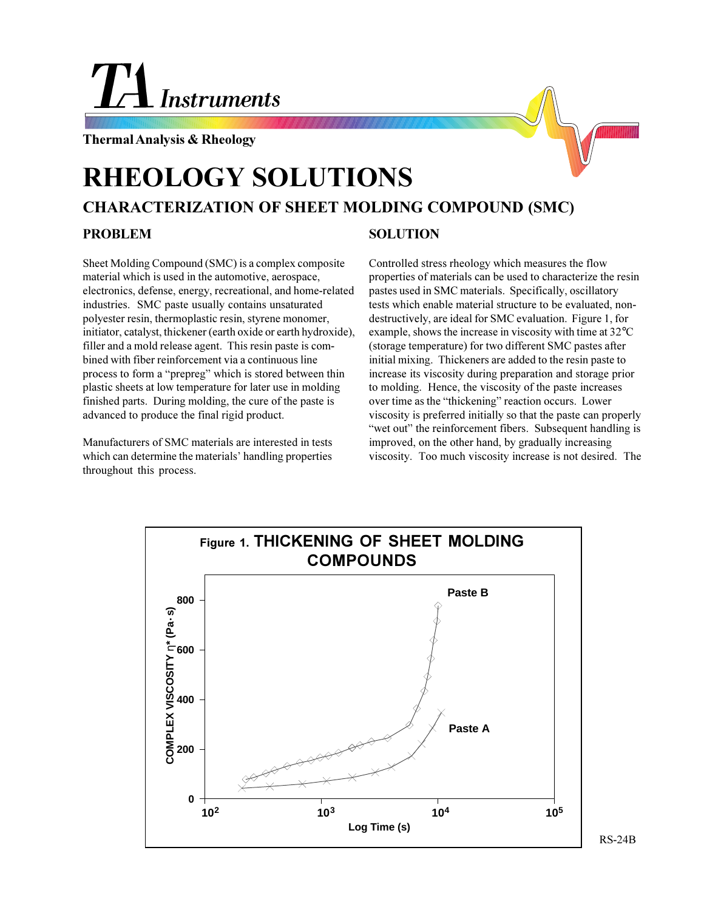# L Instruments

**Thermal Analysis & Rheology**

# **CHARACTERIZATION OF SHEET MOLDING COMPOUND (SMC) RHEOLOGY SOLUTIONS PROBLEM SOLUTION**

Sheet Molding Compound (SMC) is a complex composite material which is used in the automotive, aerospace, electronics, defense, energy, recreational, and home-related industries. SMC paste usually contains unsaturated polyester resin, thermoplastic resin, styrene monomer, initiator, catalyst, thickener (earth oxide or earth hydroxide), filler and a mold release agent. This resin paste is combined with fiber reinforcement via a continuous line process to form a "prepreg" which is stored between thin plastic sheets at low temperature for later use in molding finished parts. During molding, the cure of the paste is advanced to produce the final rigid product.

Manufacturers of SMC materials are interested in tests which can determine the materials' handling properties throughout this process.

Controlled stress rheology which measures the flow properties of materials can be used to characterize the resin pastes used in SMC materials. Specifically, oscillatory tests which enable material structure to be evaluated, nondestructively, are ideal for SMC evaluation. Figure 1, for example, shows the increase in viscosity with time at 32°C (storage temperature) for two different SMC pastes after initial mixing. Thickeners are added to the resin paste to increase its viscosity during preparation and storage prior to molding. Hence, the viscosity of the paste increases over time as the "thickening" reaction occurs. Lower viscosity is preferred initially so that the paste can properly "wet out" the reinforcement fibers. Subsequent handling is improved, on the other hand, by gradually increasing viscosity. Too much viscosity increase is not desired. The



RS-24B